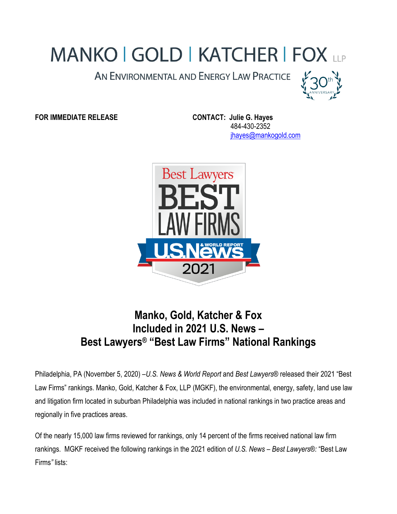## **MANKO | GOLD | KATCHER | FOX LLP**

AN ENVIRONMENTAL AND ENERGY LAW PRACTICE



**FOR IMMEDIATE RELEASE CONTACT: Julie G. Hayes**

 484-430-2352 [jhayes@mankogold.com](mailto:jhayes@mankogold.com)



## **Manko, Gold, Katcher & Fox Included in 2021 U.S. News – Best Lawyers® "Best Law Firms" National Rankings**

Philadelphia, PA (November 5, 2020) –*U.S. News & World Report* and *Best Lawyers®* released their 2021 "Best Law Firms" rankings. Manko, Gold, Katcher & Fox, LLP (MGKF), the environmental, energy, safety, land use law and litigation firm located in suburban Philadelphia was included in national rankings in two practice areas and regionally in five practices areas.

Of the nearly 15,000 law firms reviewed for rankings, only 14 percent of the firms received national law firm rankings. MGKF received the following rankings in the 2021 edition of *U.S. News – Best Lawyers®:* "Best Law Firms*"* lists: